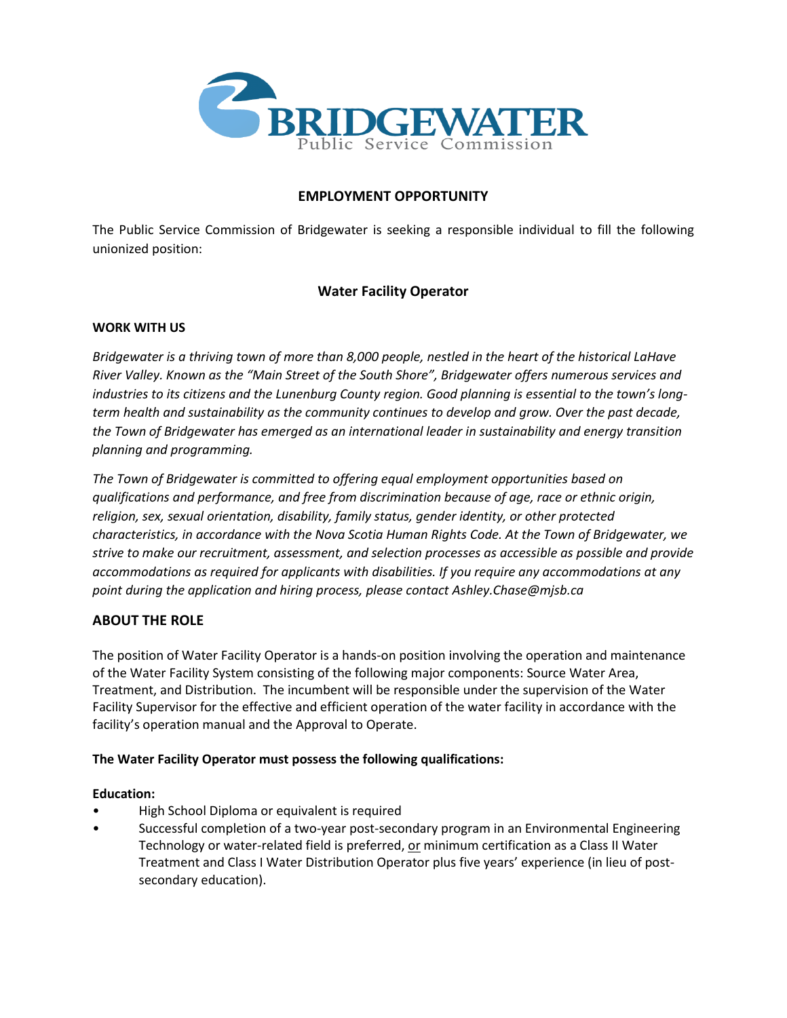

## **EMPLOYMENT OPPORTUNITY**

The Public Service Commission of Bridgewater is seeking a responsible individual to fill the following unionized position:

# **Water Facility Operator**

## **WORK WITH US**

*Bridgewater is a thriving town of more than 8,000 people, nestled in the heart of the historical LaHave River Valley. Known as the "Main Street of the South Shore", Bridgewater offers numerous services and industries to its citizens and the Lunenburg County region. Good planning is essential to the town's longterm health and sustainability as the community continues to develop and grow. Over the past decade, the Town of Bridgewater has emerged as an international leader in sustainability and energy transition planning and programming.*

*The Town of Bridgewater is committed to offering equal employment opportunities based on qualifications and performance, and free from discrimination because of age, race or ethnic origin, religion, sex, sexual orientation, disability, family status, gender identity, or other protected characteristics, in accordance with the Nova Scotia Human Rights Code. At the Town of Bridgewater, we strive to make our recruitment, assessment, and selection processes as accessible as possible and provide accommodations as required for applicants with disabilities. If you require any accommodations at any point during the application and hiring process, please contact Ashley.Chase@mjsb.ca*

## **ABOUT THE ROLE**

The position of Water Facility Operator is a hands-on position involving the operation and maintenance of the Water Facility System consisting of the following major components: Source Water Area, Treatment, and Distribution. The incumbent will be responsible under the supervision of the Water Facility Supervisor for the effective and efficient operation of the water facility in accordance with the facility's operation manual and the Approval to Operate.

## **The Water Facility Operator must possess the following qualifications:**

## **Education:**

- High School Diploma or equivalent is required
- Successful completion of a two-year post-secondary program in an Environmental Engineering Technology or water-related field is preferred, or minimum certification as a Class II Water Treatment and Class I Water Distribution Operator plus five years' experience (in lieu of postsecondary education).